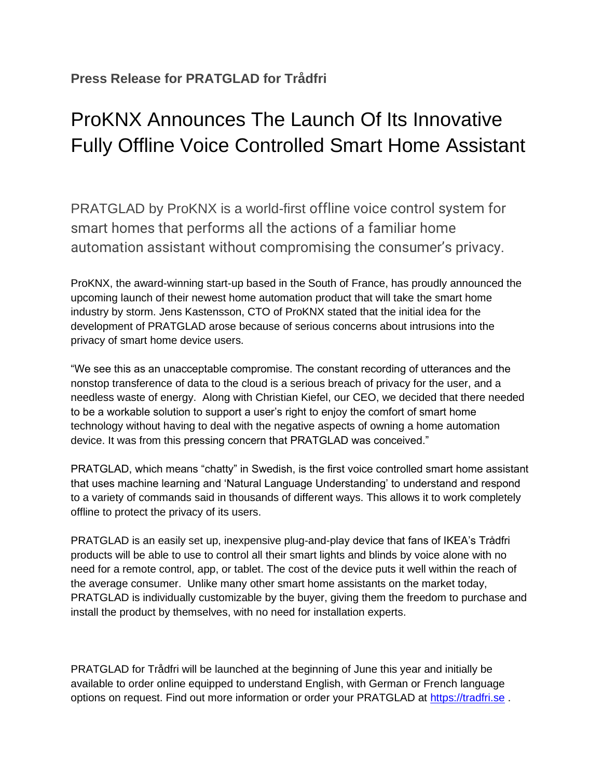## ProKNX Announces The Launch Of Its Innovative Fully Offline Voice Controlled Smart Home Assistant

PRATGLAD by ProKNX is a world-first offline voice control system for smart homes that performs all the actions of a familiar home automation assistant without compromising the consumer's privacy.

ProKNX, the award-winning start-up based in the South of France, has proudly announced the upcoming launch of their newest home automation product that will take the smart home industry by storm. Jens Kastensson, CTO of ProKNX stated that the initial idea for the development of PRATGLAD arose because of serious concerns about intrusions into the privacy of smart home device users.

"We see this as an unacceptable compromise. The constant recording of utterances and the nonstop transference of data to the cloud is a serious breach of privacy for the user, and a needless waste of energy. Along with Christian Kiefel, our CEO, we decided that there needed to be a workable solution to support a user's right to enjoy the comfort of smart home technology without having to deal with the negative aspects of owning a home automation device. It was from this pressing concern that PRATGLAD was conceived."

PRATGLAD, which means "chatty" in Swedish, is the first voice controlled smart home assistant that uses machine learning and 'Natural Language Understanding' to understand and respond to a variety of commands said in thousands of different ways. This allows it to work completely offline to protect the privacy of its users.

PRATGLAD is an easily set up, inexpensive plug-and-play device that fans of IKEA's Trådfri products will be able to use to control all their smart lights and blinds by voice alone with no need for a remote control, app, or tablet. The cost of the device puts it well within the reach of the average consumer. Unlike many other smart home assistants on the market today, PRATGLAD is individually customizable by the buyer, giving them the freedom to purchase and install the product by themselves, with no need for installation experts.

PRATGLAD for Trådfri will be launched at the beginning of June this year and initially be available to order online equipped to understand English, with German or French language options on request. Find out more information or order your PRATGLAD at [https://tradfri.se](https://tradfri.se/) .